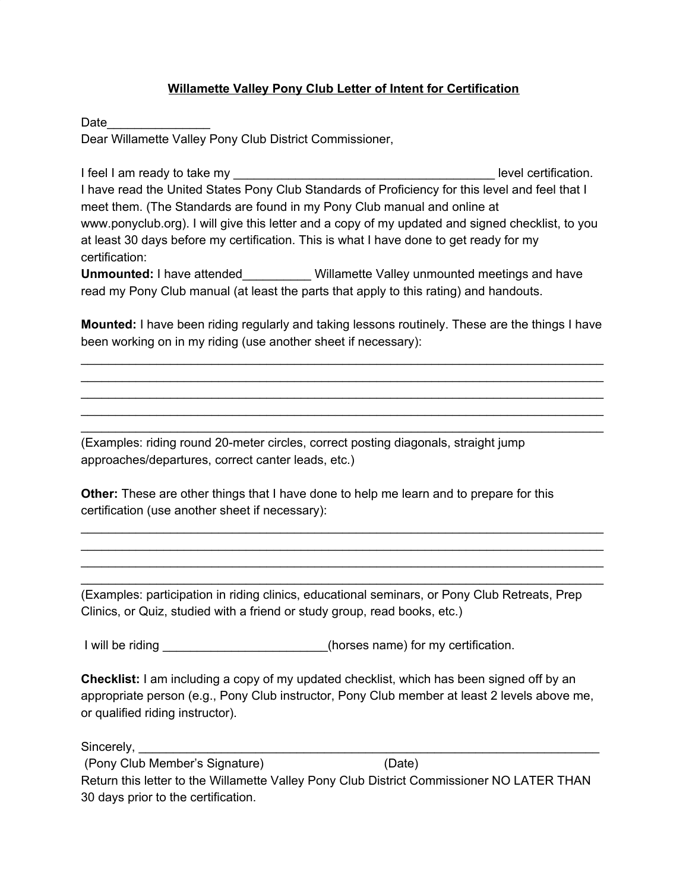## **Willamette Valley Pony Club Letter of Intent for Certification**

Date\_\_\_\_\_\_\_\_\_\_\_\_\_\_\_

Dear Willamette Valley Pony Club District Commissioner,

I feel I am ready to take my **EXECUTE:** I have a level certification. I have read the United States Pony Club Standards of Proficiency for this level and feel that I meet them. (The Standards are found in my Pony Club manual and online at www.ponyclub.org). I will give this letter and a copy of my updated and signed checklist, to you at least 30 days before my certification. This is what I have done to get ready for my certification:

**Unmounted:** I have attended Willamette Valley unmounted meetings and have read my Pony Club manual (at least the parts that apply to this rating) and handouts.

**Mounted:** I have been riding regularly and taking lessons routinely. These are the things I have been working on in my riding (use another sheet if necessary):

\_\_\_\_\_\_\_\_\_\_\_\_\_\_\_\_\_\_\_\_\_\_\_\_\_\_\_\_\_\_\_\_\_\_\_\_\_\_\_\_\_\_\_\_\_\_\_\_\_\_\_\_\_\_\_\_\_\_\_\_\_\_\_\_\_\_\_\_\_\_\_\_\_\_\_\_ \_\_\_\_\_\_\_\_\_\_\_\_\_\_\_\_\_\_\_\_\_\_\_\_\_\_\_\_\_\_\_\_\_\_\_\_\_\_\_\_\_\_\_\_\_\_\_\_\_\_\_\_\_\_\_\_\_\_\_\_\_\_\_\_\_\_\_\_\_\_\_\_\_\_\_\_ \_\_\_\_\_\_\_\_\_\_\_\_\_\_\_\_\_\_\_\_\_\_\_\_\_\_\_\_\_\_\_\_\_\_\_\_\_\_\_\_\_\_\_\_\_\_\_\_\_\_\_\_\_\_\_\_\_\_\_\_\_\_\_\_\_\_\_\_\_\_\_\_\_\_\_\_ \_\_\_\_\_\_\_\_\_\_\_\_\_\_\_\_\_\_\_\_\_\_\_\_\_\_\_\_\_\_\_\_\_\_\_\_\_\_\_\_\_\_\_\_\_\_\_\_\_\_\_\_\_\_\_\_\_\_\_\_\_\_\_\_\_\_\_\_\_\_\_\_\_\_\_\_ \_\_\_\_\_\_\_\_\_\_\_\_\_\_\_\_\_\_\_\_\_\_\_\_\_\_\_\_\_\_\_\_\_\_\_\_\_\_\_\_\_\_\_\_\_\_\_\_\_\_\_\_\_\_\_\_\_\_\_\_\_\_\_\_\_\_\_\_\_\_\_\_\_\_\_\_

(Examples: riding round 20-meter circles, correct posting diagonals, straight jump approaches/departures, correct canter leads, etc.)

**Other:** These are other things that I have done to help me learn and to prepare for this certification (use another sheet if necessary):

(Examples: participation in riding clinics, educational seminars, or Pony Club Retreats, Prep Clinics, or Quiz, studied with a friend or study group, read books, etc.)

\_\_\_\_\_\_\_\_\_\_\_\_\_\_\_\_\_\_\_\_\_\_\_\_\_\_\_\_\_\_\_\_\_\_\_\_\_\_\_\_\_\_\_\_\_\_\_\_\_\_\_\_\_\_\_\_\_\_\_\_\_\_\_\_\_\_\_\_\_\_\_\_\_\_\_\_ \_\_\_\_\_\_\_\_\_\_\_\_\_\_\_\_\_\_\_\_\_\_\_\_\_\_\_\_\_\_\_\_\_\_\_\_\_\_\_\_\_\_\_\_\_\_\_\_\_\_\_\_\_\_\_\_\_\_\_\_\_\_\_\_\_\_\_\_\_\_\_\_\_\_\_\_ \_\_\_\_\_\_\_\_\_\_\_\_\_\_\_\_\_\_\_\_\_\_\_\_\_\_\_\_\_\_\_\_\_\_\_\_\_\_\_\_\_\_\_\_\_\_\_\_\_\_\_\_\_\_\_\_\_\_\_\_\_\_\_\_\_\_\_\_\_\_\_\_\_\_\_\_ \_\_\_\_\_\_\_\_\_\_\_\_\_\_\_\_\_\_\_\_\_\_\_\_\_\_\_\_\_\_\_\_\_\_\_\_\_\_\_\_\_\_\_\_\_\_\_\_\_\_\_\_\_\_\_\_\_\_\_\_\_\_\_\_\_\_\_\_\_\_\_\_\_\_\_\_

I will be riding the same of the riding the riding of the same of the riding of the same) for my certification.

**Checklist:** I am including a copy of my updated checklist, which has been signed off by an appropriate person (e.g., Pony Club instructor, Pony Club member at least 2 levels above me, or qualified riding instructor).

Sincerely, **with a set of the set of the set of the set of the set of the set of the set of the set of the set o** 

(Pony Club Member's Signature) (Date) Return this letter to the Willamette Valley Pony Club District Commissioner NO LATER THAN 30 days prior to the certification.